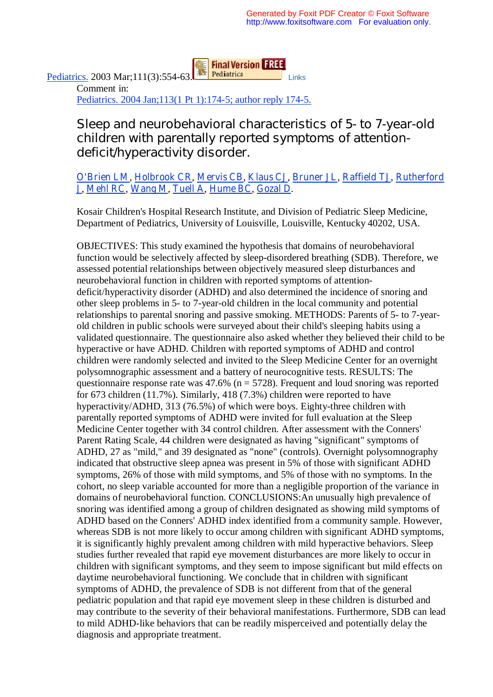**Final Version FREE** 

Pediatrics. 2003 Mar;111(3):554-63. Pediatrics Links Comment in: Pediatrics. 2004 Jan;113(1 Pt 1):174-5; author reply 174-5.

## Sleep and neurobehavioral characteristics of 5- to 7-year-old children with parentally reported symptoms of attentiondeficit/hyperactivity disorder.

## O'Brien LM, Holbrook CR, Mervis CB, Klaus CJ, Bruner JL, Raffield TJ, Rutherford J, Mehl RC, Wang M, Tuell A, Hume BC, Gozal D.

Kosair Children's Hospital Research Institute, and Division of Pediatric Sleep Medicine, Department of Pediatrics, University of Louisville, Louisville, Kentucky 40202, USA.

OBJECTIVES: This study examined the hypothesis that domains of neurobehavioral function would be selectively affected by sleep-disordered breathing (SDB). Therefore, we assessed potential relationships between objectively measured sleep disturbances and neurobehavioral function in children with reported symptoms of attentiondeficit/hyperactivity disorder (ADHD) and also determined the incidence of snoring and other sleep problems in 5- to 7-year-old children in the local community and potential relationships to parental snoring and passive smoking. METHODS: Parents of 5- to 7-yearold children in public schools were surveyed about their child's sleeping habits using a validated questionnaire. The questionnaire also asked whether they believed their child to be hyperactive or have ADHD. Children with reported symptoms of ADHD and control children were randomly selected and invited to the Sleep Medicine Center for an overnight polysomnographic assessment and a battery of neurocognitive tests. RESULTS: The questionnaire response rate was  $47.6\%$  (n = 5728). Frequent and loud snoring was reported for 673 children (11.7%). Similarly, 418 (7.3%) children were reported to have hyperactivity/ADHD, 313 (76.5%) of which were boys. Eighty-three children with parentally reported symptoms of ADHD were invited for full evaluation at the Sleep Medicine Center together with 34 control children. After assessment with the Conners' Parent Rating Scale, 44 children were designated as having "significant" symptoms of ADHD, 27 as "mild," and 39 designated as "none" (controls). Overnight polysomnography indicated that obstructive sleep apnea was present in 5% of those with significant ADHD symptoms, 26% of those with mild symptoms, and 5% of those with no symptoms. In the cohort, no sleep variable accounted for more than a negligible proportion of the variance in domains of neurobehavioral function. CONCLUSIONS:An unusually high prevalence of snoring was identified among a group of children designated as showing mild symptoms of ADHD based on the Conners' ADHD index identified from a community sample. However, whereas SDB is not more likely to occur among children with significant ADHD symptoms, it is significantly highly prevalent among children with mild hyperactive behaviors. Sleep studies further revealed that rapid eye movement disturbances are more likely to occur in children with significant symptoms, and they seem to impose significant but mild effects on daytime neurobehavioral functioning. We conclude that in children with significant symptoms of ADHD, the prevalence of SDB is not different from that of the general pediatric population and that rapid eye movement sleep in these children is disturbed and may contribute to the severity of their behavioral manifestations. Furthermore, SDB can lead to mild ADHD-like behaviors that can be readily misperceived and potentially delay the diagnosis and appropriate treatment.